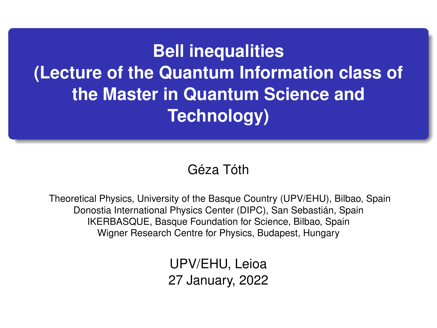**Bell inequalities (Lecture of the Quantum Information class of the Master in Quantum Science and Technology)**

#### Géza Tóth

Theoretical Physics, University of the Basque Country (UPV/EHU), Bilbao, Spain Donostia International Physics Center (DIPC), San Sebastián, Spain IKERBASQUE, Basque Foundation for Science, Bilbao, Spain Wigner Research Centre for Physics, Budapest, Hungary

> UPV/EHU, Leioa 27 January, 2022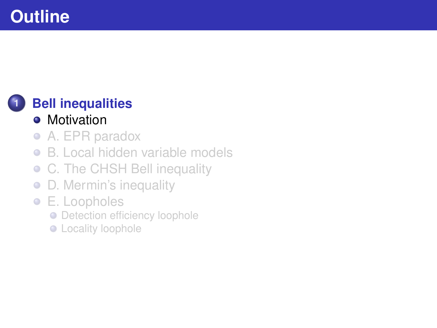#### <span id="page-1-0"></span>**1 [Bell inequalities](#page-1-0)**

#### • [Motivation](#page-1-0)

- [A. EPR paradox](#page-3-0)  $\bullet$
- [B. Local hidden variable models](#page-7-0)  $\bullet$
- [C. The CHSH Bell inequality](#page-13-0)  $\bullet$
- [D. Mermin's inequality](#page-19-0)  $\bullet$
- [E. Loopholes](#page-23-0)
	- **[Detection efficiency loophole](#page-24-0)**
	- **•** [Locality loophole](#page-25-0)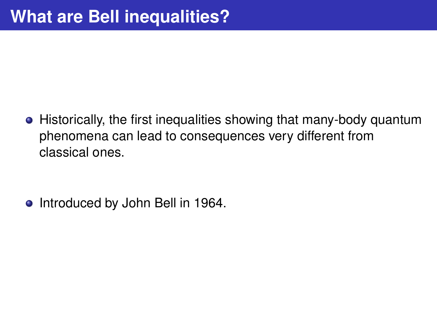• Historically, the first inequalities showing that many-body quantum phenomena can lead to consequences very different from classical ones.

• Introduced by John Bell in 1964.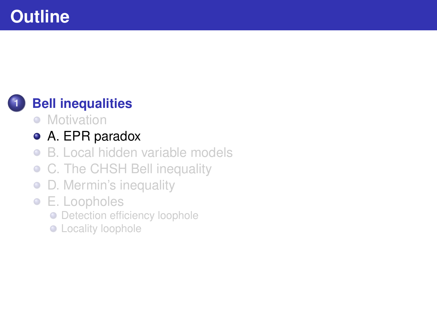#### <span id="page-3-0"></span>**1 [Bell inequalities](#page-1-0)**

- [Motivation](#page-1-0)
- [A. EPR paradox](#page-3-0)
- [B. Local hidden variable models](#page-7-0)  $\bullet$
- [C. The CHSH Bell inequality](#page-13-0)  $\bullet$
- [D. Mermin's inequality](#page-19-0)  $\bullet$
- [E. Loopholes](#page-23-0)
	- **[Detection efficiency loophole](#page-24-0)**
	- **•** [Locality loophole](#page-25-0)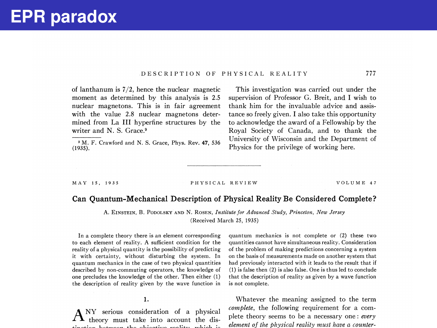#### .DESCRIPTION OF PHYSICAL REALITY

of lanthanum is 7/2, hence the nuclear magnetic moment as determined by this analysis is 2.5 nuclear magnetons. This is in fair agreement with the value 2.8 nuclear magnetons determined, from La III hyperfine structures by the writer and N. S. Grace.<sup>9</sup>

M. F. Crawford and N. S. Grace, Phys. Rev. 47, 536 (1935).

This investigation was carried out under the supervision of Professor G. Breit, and I wish to thank him for the invaluable advice and assistance so freely given. I also take this opportunity to acknowledge the award of a Fellowship by the Royal Society of Canada, and to thank the University of Wisconsin and the Department of Physics for the privilege of working here.

#### MAY 15, 1935 PHYSICAL REVIEW VOLUME 47

777

#### Can Quantum-Mechanical Description of Physical Reality Be Considered Complete' ?

A. EINSTEIN, B. PODOLSKY AND N. ROSEN, Institute for Advanced Study, Princeton, New Jersey (Received March 25, 1935)

In a complete theory there is an element corresponding to each element of reality. A sufficient condition for the reality of a physical quantity is the possibility of predicting it with certainty, without disturbing the system. In quantum mechanics in the case of two physical quantities described by non-commuting operators, the knowledge of one precludes the knowledge of the other. Then either (1) the description of reality given by the wave function in

1.

 $\mathrm{A}^\text{\tiny{NY}}$  serious consideration of a physical theory must take into account the distinction between the objective reality, which is a straightfully reality, which is a straightfully reality, which is quantum mechanics is not complete or (2) these two quantities cannot have simultaneous reality. Consideration of the problem of making predictions concerning a system on the basis of measurements made on another system that had previously interacted with it leads to the result that if (1) is false then (2) is also false. One is thus led to conclude that the description of reality as given by a wave function is not complete.

Whatever the meaning assigned to the term  $complete$ , the following requirement for a complete theory seems to be a necessary one: every element of the physical reality must have a counter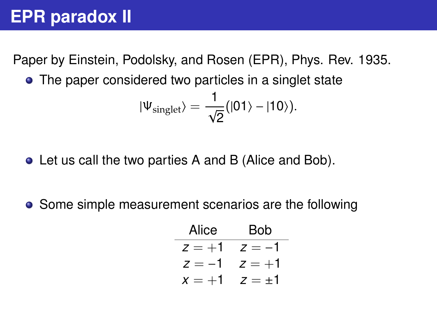## **EPR paradox II**

Paper by Einstein, Podolsky, and Rosen (EPR), Phys. Rev. 1935.

• The paper considered two particles in a singlet state

$$
|\Psi_{\rm singlet}\rangle=\frac{1}{\sqrt{2}}(|01\rangle-|10\rangle).
$$

- Let us call the two parties A and B (Alice and Bob).
- Some simple measurement scenarios are the following

Alice Bob  
\n
$$
z = +1
$$
  $z = -1$   
\n $z = -1$   $z = +1$   
\n $x = +1$   $z = \pm 1$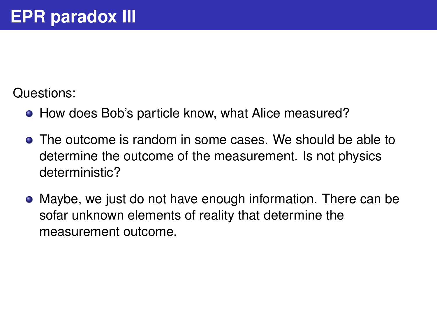Questions:

- How does Bob's particle know, what Alice measured?
- The outcome is random in some cases. We should be able to determine the outcome of the measurement. Is not physics deterministic?
- Maybe, we just do not have enough information. There can be sofar unknown elements of reality that determine the measurement outcome.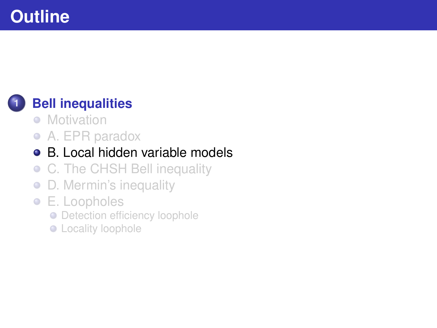#### <span id="page-7-0"></span>**1 [Bell inequalities](#page-1-0)**

- [Motivation](#page-1-0)
- [A. EPR paradox](#page-3-0)

#### [B. Local hidden variable models](#page-7-0)  $\bullet$

- [C. The CHSH Bell inequality](#page-13-0)  $\bullet$
- [D. Mermin's inequality](#page-19-0)  $\bullet$
- [E. Loopholes](#page-23-0)
	- **[Detection efficiency loophole](#page-24-0)**
	- **•** [Locality loophole](#page-25-0)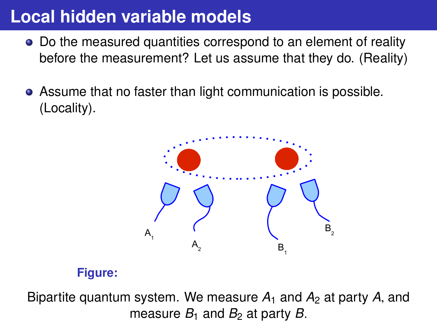# **Local hidden variable models**

- Do the measured quantities correspond to an element of reality before the measurement? Let us assume that they do. (Reality)
- Assume that no faster than light communication is possible. (Locality).



#### **Figure:**

Bipartite quantum system. We measure  $A_1$  and  $A_2$  at party A, and measure  $B_1$  and  $B_2$  at party *B*.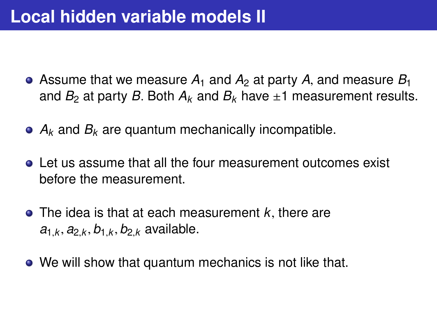## **Local hidden variable models II**

- Assume that we measure  $A_1$  and  $A_2$  at party A, and measure  $B_1$ and  $B_2$  at party *B*. Both  $A_k$  and  $B_k$  have  $\pm 1$  measurement results.
- *A<sup>k</sup>* and *B<sup>k</sup>* are quantum mechanically incompatible.
- Let us assume that all the four measurement outcomes exist before the measurement.
- The idea is that at each measurement *<sup>k</sup>*, there are  $a_{1,k}, a_{2,k}, b_{1,k}, b_{2,k}$  available.
- We will show that quantum mechanics is not like that.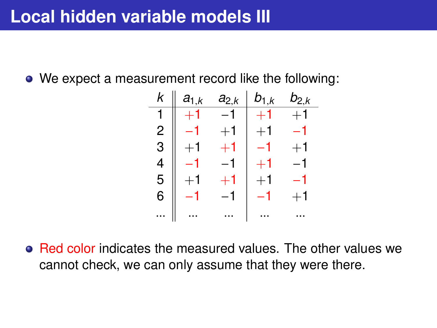We expect a measurement record like the following:

| k | $a_{1,k}$        | $a_{2,k}$        | $b_{1,k}$        | $b_{2,k}$ |
|---|------------------|------------------|------------------|-----------|
|   |                  | -1               | $+1$             | $+1$      |
| 2 |                  | $^{\mathrm +1}$  | $^{\mathrm{+1}}$ | -1        |
| 3 | $^{\mathrm +1}$  | $+1$             | -1               | $+1$      |
| 4 |                  | $-1$             | $^{\mathrm{+1}}$ | –1        |
| 5 | $^{\mathrm{+1}}$ | $^{\mathrm{+1}}$ | $+1$             | -1        |
| 6 |                  | -1               | -1               | $+1$      |
|   |                  |                  |                  |           |

• Red color indicates the measured values. The other values we cannot check, we can only assume that they were there.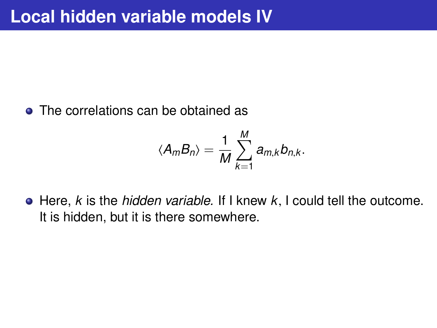• The correlations can be obtained as

$$
\langle A_m B_n \rangle = \frac{1}{M} \sum_{k=1}^M a_{m,k} b_{n,k}.
$$

Here, *<sup>k</sup>* is the *hidden variable.* If I knew *<sup>k</sup>*, I could tell the outcome. It is hidden, but it is there somewhere.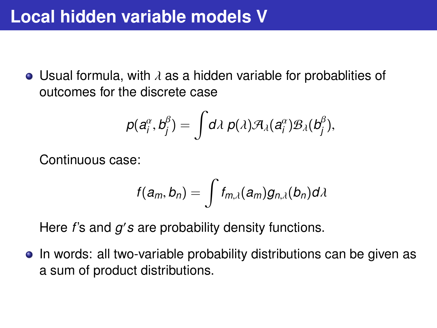• Usual formula, with  $\lambda$  as a hidden variable for probablities of outcomes for the discrete case

$$
p(a_i^{\alpha},b_j^{\beta})=\int d\lambda\ p(\lambda)\mathcal{A}_{\lambda}(a_i^{\alpha})\mathcal{B}_{\lambda}(b_j^{\beta}),
$$

Continuous case:

$$
f(a_m,b_n)=\int f_{m,\lambda}(a_m)g_{n,\lambda}(b_n)d\lambda
$$

Here *f*'s and *g's* are probability density functions.

• In words: all two-variable probability distributions can be given as a sum of product distributions.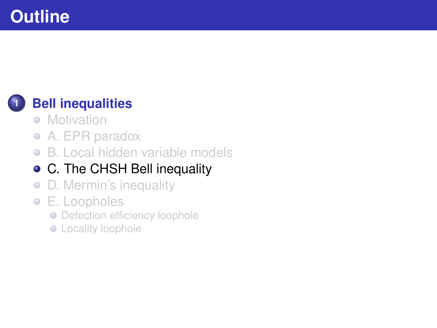#### <span id="page-13-0"></span>**1 [Bell inequalities](#page-1-0)**

- [Motivation](#page-1-0)
- [A. EPR paradox](#page-3-0)
- [B. Local hidden variable models](#page-7-0)  $\bullet$

#### [C. The CHSH Bell inequality](#page-13-0)

- [D. Mermin's inequality](#page-19-0)  $\bullet$
- [E. Loopholes](#page-23-0)
	- **[Detection efficiency loophole](#page-24-0)**
	- **•** [Locality loophole](#page-25-0)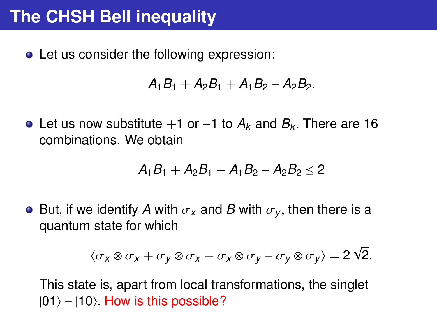# **The CHSH Bell inequality**

• Let us consider the following expression:

$$
A_1B_1+A_2B_1+A_1B_2-A_2B_2.
$$

Let us now substitute <sup>+</sup>1 or <sup>−</sup>1 to *<sup>A</sup><sup>k</sup>* and *<sup>B</sup><sup>k</sup>* . There are 16 combinations. We obtain

$$
A_1B_1+A_2B_1+A_1B_2-A_2B_2\leq 2
$$

• But, if we identify A with  $\sigma_x$  and B with  $\sigma_y$ , then there is a quantum state for which

$$
\langle \sigma_x \otimes \sigma_x + \sigma_y \otimes \sigma_x + \sigma_x \otimes \sigma_y - \sigma_y \otimes \sigma_y \rangle = 2 \sqrt{2}.
$$

This state is, apart from local transformations, the singlet  $|01\rangle - |10\rangle$ . How is this possible?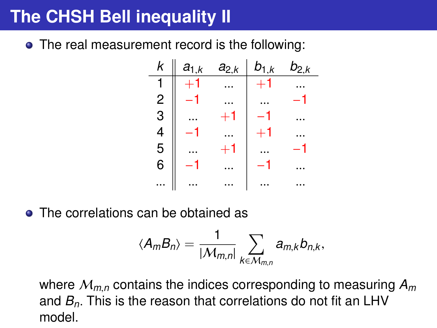# **The CHSH Bell inequality II**

• The real measurement record is the following:



• The correlations can be obtained as

$$
\langle A_m B_n \rangle = \frac{1}{|\mathcal{M}_{m,n}|} \sum_{k \in \mathcal{M}_{m,n}} a_{m,k} b_{n,k},
$$

where <sup>M</sup>*m*,*<sup>n</sup>* contains the indices corresponding to measuring *<sup>A</sup><sup>m</sup>* and *<sup>B</sup>n*. This is the reason that correlations do not fit an LHV model.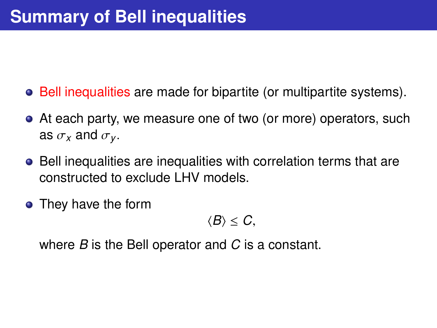- Bell inequalities are made for bipartite (or multipartite systems).
- At each party, we measure one of two (or more) operators, such as  $\sigma_x$  and  $\sigma_y$ .
- Bell inequalities are inequalities with correlation terms that are constructed to exclude LHV models.
- They have the form

$$
\langle B\rangle\leq C,
$$

where *B* is the Bell operator and *C* is a constant.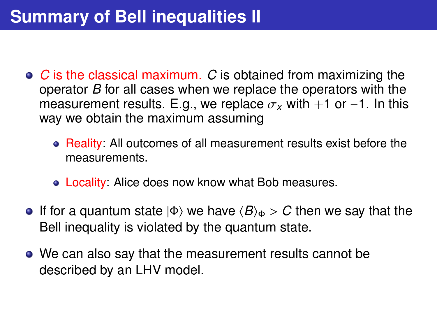- *C* is the classical maximum. *C* is obtained from maximizing the operator *B* for all cases when we replace the operators with the measurement results. E.g., we replace  $\sigma_x$  with +1 or −1. In this way we obtain the maximum assuming
	- Reality: All outcomes of all measurement results exist before the measurements.
	- Locality: Alice does now know what Bob measures.
- **If for a quantum state**  $|\Phi\rangle$  **we have**  $\langle B\rangle_{\Phi} > C$  **then we say that the** Bell inequality is violated by the quantum state.
- We can also say that the measurement results cannot be described by an LHV model.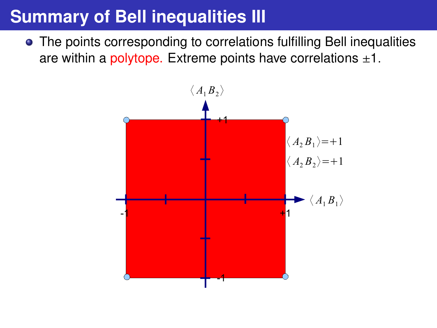## **Summary of Bell inequalities III**

The points corresponding to correlations fulfilling Bell inequalities are within a polytope. Extreme points have correlations  $\pm 1$ .

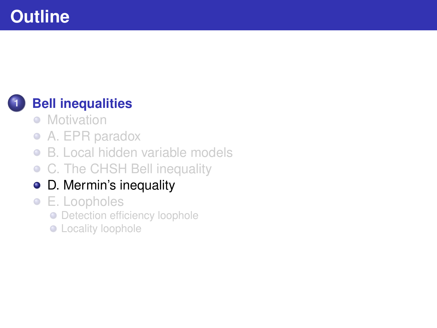#### <span id="page-19-0"></span>**1 [Bell inequalities](#page-1-0)**

- [Motivation](#page-1-0)
- [A. EPR paradox](#page-3-0)
- [B. Local hidden variable models](#page-7-0)  $\bullet$
- [C. The CHSH Bell inequality](#page-13-0)  $\bullet$
- [D. Mermin's inequality](#page-19-0)
- [E. Loopholes](#page-23-0)
	- **[Detection efficiency loophole](#page-24-0)**
	- **•** [Locality loophole](#page-25-0)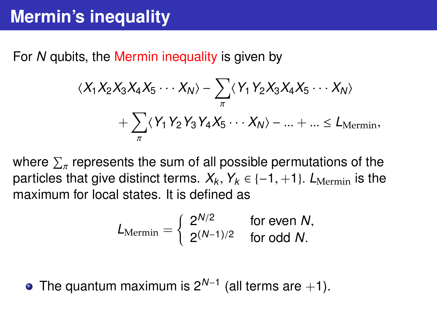For *N* qubits, the Mermin inequality is given by

$$
\langle X_1 X_2 X_3 X_4 X_5 \cdots X_N \rangle - \sum_{\pi} \langle Y_1 Y_2 X_3 X_4 X_5 \cdots X_N \rangle
$$

$$
+ \sum_{\pi} \langle Y_1 Y_2 Y_3 Y_4 X_5 \cdots X_N \rangle - ... + ... \le L_{Mermin},
$$

where  $\sum_{\pi}$  represents the sum of all possible permutations of the particles that give distinct terms.  $X_k$ ,  $Y_k \in \{-1, +1\}$ .  $L_{\text{Mermin}}$  is the maximum for local states. It is defined as maximum for local states. It is defined as

$$
L_{\text{Mermin}} = \left\{ \begin{array}{ll} 2^{N/2} & \text{for even } N, \\ 2^{(N-1)/2} & \text{for odd } N. \end{array} \right.
$$

The quantum maximum is 2*N*−<sup>1</sup> (all terms are +1).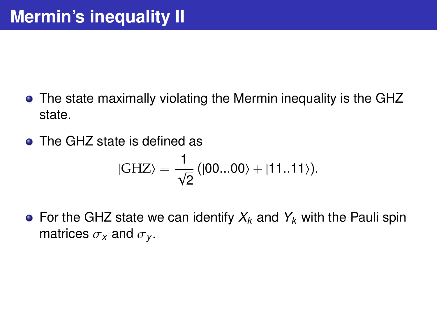- The state maximally violating the Mermin inequality is the GHZ state.
- **o** The GHZ state is defined as

$$
|GHZ\rangle=\frac{1}{\sqrt{2}}\left(|00...00\rangle+|11..11\rangle\right).
$$

• For the GHZ state we can identify  $X_k$  and  $Y_k$  with the Pauli spin matrices  $\sigma_X$  and  $\sigma_Y$ .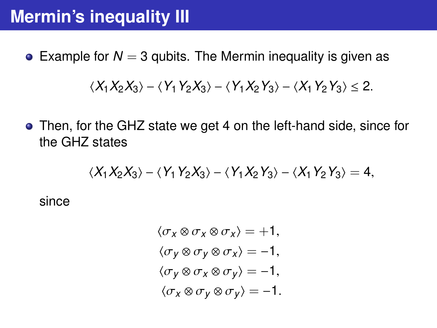# **Mermin's inequality III**

**•** Example for  $N = 3$  qubits. The Mermin inequality is given as

$$
\langle X_1 X_2 X_3 \rangle - \langle Y_1 Y_2 X_3 \rangle - \langle Y_1 X_2 Y_3 \rangle - \langle X_1 Y_2 Y_3 \rangle \leq 2.
$$

Then, for the GHZ state we get 4 on the left-hand side, since for the GHZ states

$$
\langle X_1 X_2 X_3 \rangle - \langle Y_1 Y_2 X_3 \rangle - \langle Y_1 X_2 Y_3 \rangle - \langle X_1 Y_2 Y_3 \rangle = 4,
$$

since

$$
\langle \sigma_X \otimes \sigma_X \otimes \sigma_X \rangle = +1,
$$
  
\n
$$
\langle \sigma_Y \otimes \sigma_Y \otimes \sigma_X \rangle = -1,
$$
  
\n
$$
\langle \sigma_Y \otimes \sigma_X \otimes \sigma_Y \rangle = -1,
$$
  
\n
$$
\langle \sigma_X \otimes \sigma_Y \otimes \sigma_Y \rangle = -1.
$$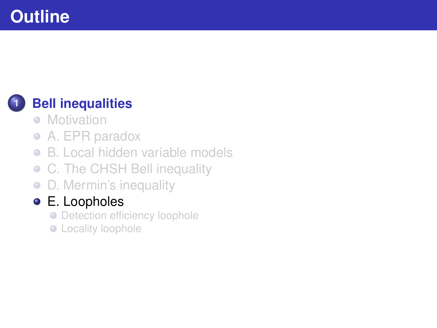#### <span id="page-23-0"></span>**1 [Bell inequalities](#page-1-0)**

- [Motivation](#page-1-0)
- [A. EPR paradox](#page-3-0)  $\bullet$
- [B. Local hidden variable models](#page-7-0)  $\bullet$
- [C. The CHSH Bell inequality](#page-13-0)  $\bullet$
- [D. Mermin's inequality](#page-19-0)  $\bullet$

#### [E. Loopholes](#page-23-0)

- **[Detection efficiency loophole](#page-24-0)**
- **•** [Locality loophole](#page-25-0)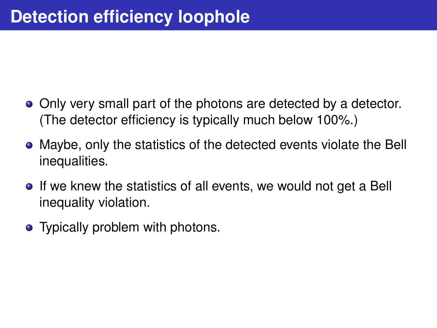- <span id="page-24-0"></span>• Only very small part of the photons are detected by a detector. (The detector efficiency is typically much below 100%.)
- Maybe, only the statistics of the detected events violate the Bell inequalities.
- If we knew the statistics of all events, we would not get a Bell inequality violation.
- Typically problem with photons.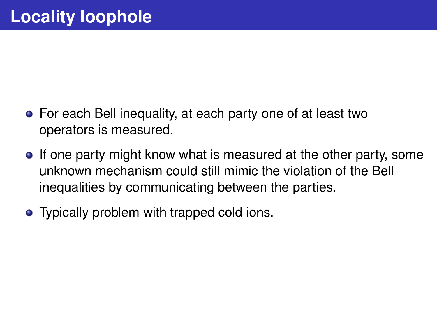- <span id="page-25-0"></span>For each Bell inequality, at each party one of at least two operators is measured.
- If one party might know what is measured at the other party, some unknown mechanism could still mimic the violation of the Bell inequalities by communicating between the parties.
- Typically problem with trapped cold ions.